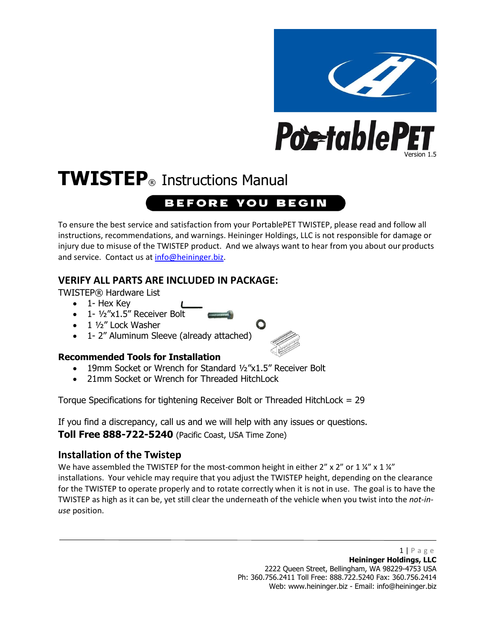

# **TWISTEP**® Instructions Manual **BEFORE YOU BEGIN**

To ensure the best service and satisfaction from your PortablePET TWISTEP, please read and follow all instructions, recommendations, and warnings. Heininger Holdings, LLC is not responsible for damage or injury due to misuse of the TWISTEP product. And we always want to hear from you about our products and service. Contact us a[t info@heininger.biz.](mailto:info@heininger.biz)

#### **VERIFY ALL PARTS ARE INCLUDED IN PACKAGE:**

TWISTEP® Hardware List

- 1- Hex Key
- 1- 1/2"x1.5" Receiver Bolt
- 1 1/2" Lock Washer
- 1- 2" Aluminum Sleeve (already attached)

#### **Recommended Tools for Installation**

- 19mm Socket or Wrench for Standard ½"x1.5" Receiver Bolt
- 21mm Socket or Wrench for Threaded HitchLock

Torque Specifications for tightening Receiver Bolt or Threaded HitchLock = 29

If you find a discrepancy, call us and we will help with any issues or questions. **Toll Free 888-722-5240** (Pacific Coast, USA Time Zone)

#### **Installation of the Twistep**

We have assembled the TWISTEP for the most-common height in either 2" x 2" or 1  $\frac{1}{4}$ " x 1  $\frac{1}{4}$ " installations. Your vehicle may require that you adjust the TWISTEP height, depending on the clearance for the TWISTEP to operate properly and to rotate correctly when it is not in use. The goal is to have the TWISTEP as high as it can be, yet still clear the underneath of the vehicle when you twist into the *not-inuse* position.

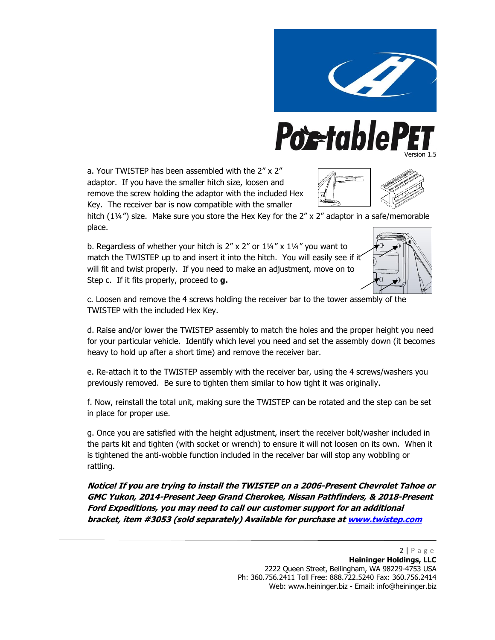

## **Poetable** Version 1.5

a. Your TWISTEP has been assembled with the 2" x 2" adaptor. If you have the smaller hitch size, loosen and remove the screw holding the adaptor with the included Hex Key. The receiver bar is now compatible with the smaller



hitch (11/4") size. Make sure you store the Hex Key for the 2" x 2" adaptor in a safe/memorable place.

b. Regardless of whether your hitch is  $2'' \times 2''$  or  $1\frac{1}{4}$  x  $1\frac{1}{4}$  you want to match the TWISTEP up to and insert it into the hitch. You will easily see if it will fit and twist properly. If you need to make an adjustment, move on to Step c. If it fits properly, proceed to **g.**



c. Loosen and remove the 4 screws holding the receiver bar to the tower assembly of the TWISTEP with the included Hex Key.

d. Raise and/or lower the TWISTEP assembly to match the holes and the proper height you need for your particular vehicle. Identify which level you need and set the assembly down (it becomes heavy to hold up after a short time) and remove the receiver bar.

e. Re-attach it to the TWISTEP assembly with the receiver bar, using the 4 screws/washers you previously removed. Be sure to tighten them similar to how tight it was originally.

f. Now, reinstall the total unit, making sure the TWISTEP can be rotated and the step can be set in place for proper use.

g. Once you are satisfied with the height adjustment, insert the receiver bolt/washer included in the parts kit and tighten (with socket or wrench) to ensure it will not loosen on its own. When it is tightened the anti-wobble function included in the receiver bar will stop any wobbling or rattling.

**Notice! If you are trying to install the TWISTEP on a 2006-Present Chevrolet Tahoe or GMC Yukon, 2014-Present Jeep Grand Cherokee, Nissan Pathfinders, & 2018-Present Ford Expeditions, you may need to call our customer support for an additional bracket, item #3053 (sold separately) Available for purchase a[t www.twistep.com](http://www.twistep.com/)**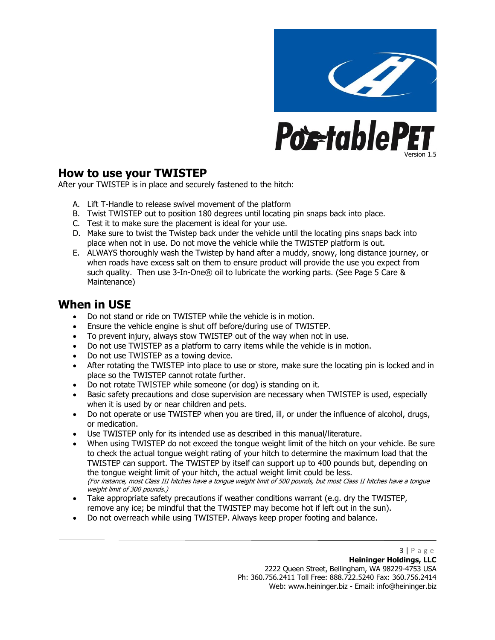

#### **How to use your TWISTEP**

After your TWISTEP is in place and securely fastened to the hitch:

- A. Lift T-Handle to release swivel movement of the platform
- B. Twist TWISTEP out to position 180 degrees until locating pin snaps back into place.
- C. Test it to make sure the placement is ideal for your use.
- D. Make sure to twist the Twistep back under the vehicle until the locating pins snaps back into place when not in use. Do not move the vehicle while the TWISTEP platform is out.
- E. ALWAYS thoroughly wash the Twistep by hand after a muddy, snowy, long distance journey, or when roads have excess salt on them to ensure product will provide the use you expect from such quality. Then use 3-In-One® oil to lubricate the working parts. (See Page 5 Care & Maintenance)

#### **When in USE**

- Do not stand or ride on TWISTEP while the vehicle is in motion.
- Ensure the vehicle engine is shut off before/during use of TWISTEP.
- To prevent injury, always stow TWISTEP out of the way when not in use.
- Do not use TWISTEP as a platform to carry items while the vehicle is in motion.
- Do not use TWISTEP as a towing device.
- After rotating the TWISTEP into place to use or store, make sure the locating pin is locked and in place so the TWISTEP cannot rotate further.
- Do not rotate TWISTEP while someone (or dog) is standing on it.
- Basic safety precautions and close supervision are necessary when TWISTEP is used, especially when it is used by or near children and pets.
- Do not operate or use TWISTEP when you are tired, ill, or under the influence of alcohol, drugs, or medication.
- Use TWISTEP only for its intended use as described in this manual/literature.
- When using TWISTEP do not exceed the tongue weight limit of the hitch on your vehicle. Be sure to check the actual tongue weight rating of your hitch to determine the maximum load that the TWISTEP can support. The TWISTEP by itself can support up to 400 pounds but, depending on the tongue weight limit of your hitch, the actual weight limit could be less. (For instance, most Class III hitches have a tongue weight limit of 500 pounds, but most Class II hitches have a tongue weight limit of 300 pounds.)
- Take appropriate safety precautions if weather conditions warrant (e.g. dry the TWISTEP, remove any ice; be mindful that the TWISTEP may become hot if left out in the sun).
- Do not overreach while using TWISTEP. Always keep proper footing and balance.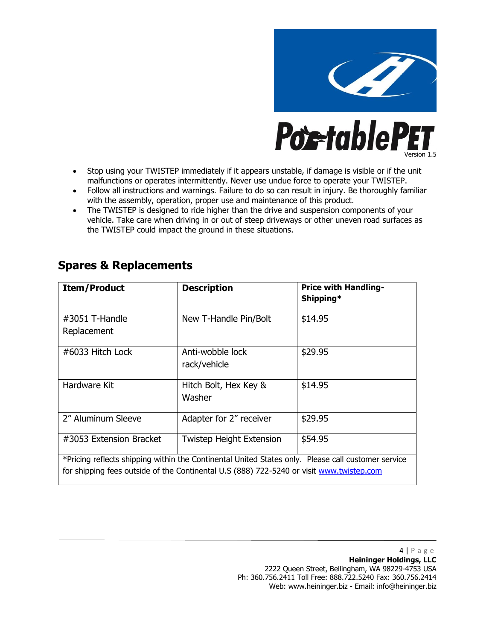

- Stop using your TWISTEP immediately if it appears unstable, if damage is visible or if the unit malfunctions or operates intermittently. Never use undue force to operate your TWISTEP.
- Follow all instructions and warnings. Failure to do so can result in injury. Be thoroughly familiar with the assembly, operation, proper use and maintenance of this product.
- The TWISTEP is designed to ride higher than the drive and suspension components of your vehicle. Take care when driving in or out of steep driveways or other uneven road surfaces as the TWISTEP could impact the ground in these situations.

### **Spares & Replacements**

| <b>Item/Product</b>                                                                                                                                                                            | <b>Description</b>               | <b>Price with Handling-</b><br>Shipping* |
|------------------------------------------------------------------------------------------------------------------------------------------------------------------------------------------------|----------------------------------|------------------------------------------|
| $\#3051$ T-Handle<br>Replacement                                                                                                                                                               | New T-Handle Pin/Bolt            | \$14.95                                  |
| #6033 Hitch Lock                                                                                                                                                                               | Anti-wobble lock<br>rack/vehicle | \$29.95                                  |
| Hardware Kit                                                                                                                                                                                   | Hitch Bolt, Hex Key &<br>Washer  | \$14.95                                  |
| 2" Aluminum Sleeve                                                                                                                                                                             | Adapter for 2" receiver          | \$29.95                                  |
| #3053 Extension Bracket                                                                                                                                                                        | <b>Twistep Height Extension</b>  | \$54.95                                  |
| *Pricing reflects shipping within the Continental United States only. Please call customer service<br>for shipping fees outside of the Continental U.S (888) 722-5240 or visit www.twistep.com |                                  |                                          |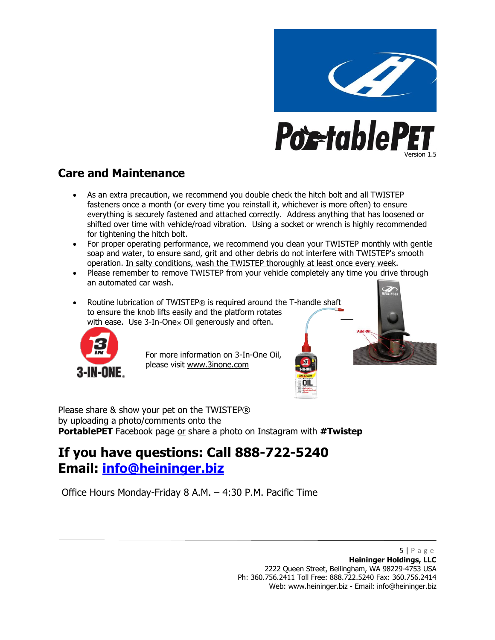

### **Care and Maintenance**

- As an extra precaution, we recommend you double check the hitch bolt and all TWISTEP fasteners once a month (or every time you reinstall it, whichever is more often) to ensure everything is securely fastened and attached correctly. Address anything that has loosened or shifted over time with vehicle/road vibration. Using a socket or wrench is highly recommended for tightening the hitch bolt.
- For proper operating performance, we recommend you clean your TWISTEP monthly with gentle soap and water, to ensure sand, grit and other debris do not interfere with TWISTEP's smooth operation. In salty conditions, wash the TWISTEP thoroughly at least once every week.
- Please remember to remove TWISTEP from your vehicle completely any time you drive through an automated car wash.
- Routine lubrication of TWISTEP® is required around the T-handle shaft to ensure the knob lifts easily and the platform rotates with ease. Use  $3$ -In-One<sup>®</sup> Oil generously and often.



For more information on 3-In-One Oil, please visit www.3inone.com



Please share & show your pet on the TWISTEP® by uploading a photo/comments onto the **PortablePET** Facebook page or share a photo on Instagram with **#Twistep**

### **If you have questions: Call 888-722-5240 Email: [info@heininger.biz](mailto:info@heininger.biz)**

Office Hours Monday-Friday 8 A.M. – 4:30 P.M. Pacific Time